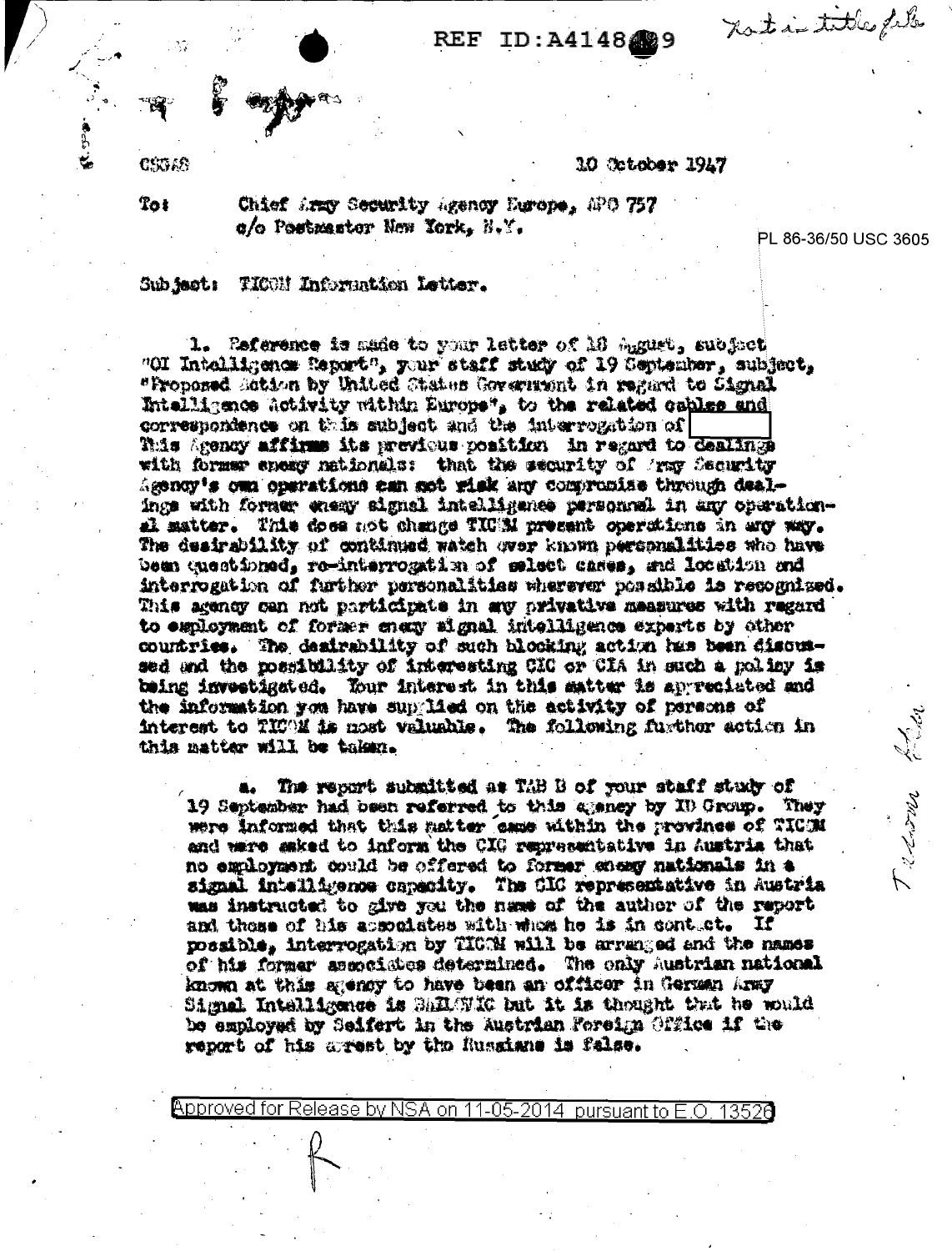not in title file

## $\mathbf{REF}$ ID: A4148489

CSGAS

10 October 1947

 $Tot$ 

Chief Army Security Agency Europe, APO 757 o/o Postmaster New York, N.Y.

PL 86-36/50 USC 3605

Frenowa Eliza

Sub jest: TIOON Information Letter.

1. Pafarence is mude to your letter of 10 Agust, subject "OI Intelligenom Report", your staff study of 19 September, subject, "Proposed Sation by United Chates Government in regard to Signal Intelligence Activity within Europe", to the related cables and correspondence on this subject and the interrogation of This Agency affirms its previous position in regard to dealings with former energ mationals: that the security of Army Security Agency's own operations can got risk any compromise through dealings with former etemy signal intelligence personnel in any operational matter. This does not change TIC'M present operations in any way. The desirability of continued watch over known personalities who have bem questioned, re-interrogation of select cases, and location and interrogation of further personalities wherever possible is recognized. This agency can not participate in any privative measures with regard to exployment of former enery signal intelligence experts by other countries. The desirability of such blocking action has been discussed and the possibility of interesting CIC or CIA in such a policy is being investigated. Your interest in this matter is appreciated and the information you have supplied on the activity of persons of interest to TICOM is nost valuable. The following further action in this matter will be taken.

The report submitted as TAB B of your staff study of 19 September had been referred to this apprey by ID Group. They were informed that this matter came within the province of TICM and were saked to inform the CIG representative in Austria that no employment could be offered to former sheavy nationals in a signal intelligence capacity. The CIC representative in Austria was instructed to give you the name of the author of the report and these of his apmoniates with whea he is in contuct. If possible, interrogation by TICCM will be arranged and the names of his former asenciates determined. The only Austrian national known at this agency to have been an officer in German Army Signal Intelligence is SARAVIG but it is thought that he would be employed by Seifert in the Austrian Foreign Office if the report of his arrest by the Russians is false.

Approved for Release by NSA on 11-05-2014 pursuant to E.O. 13520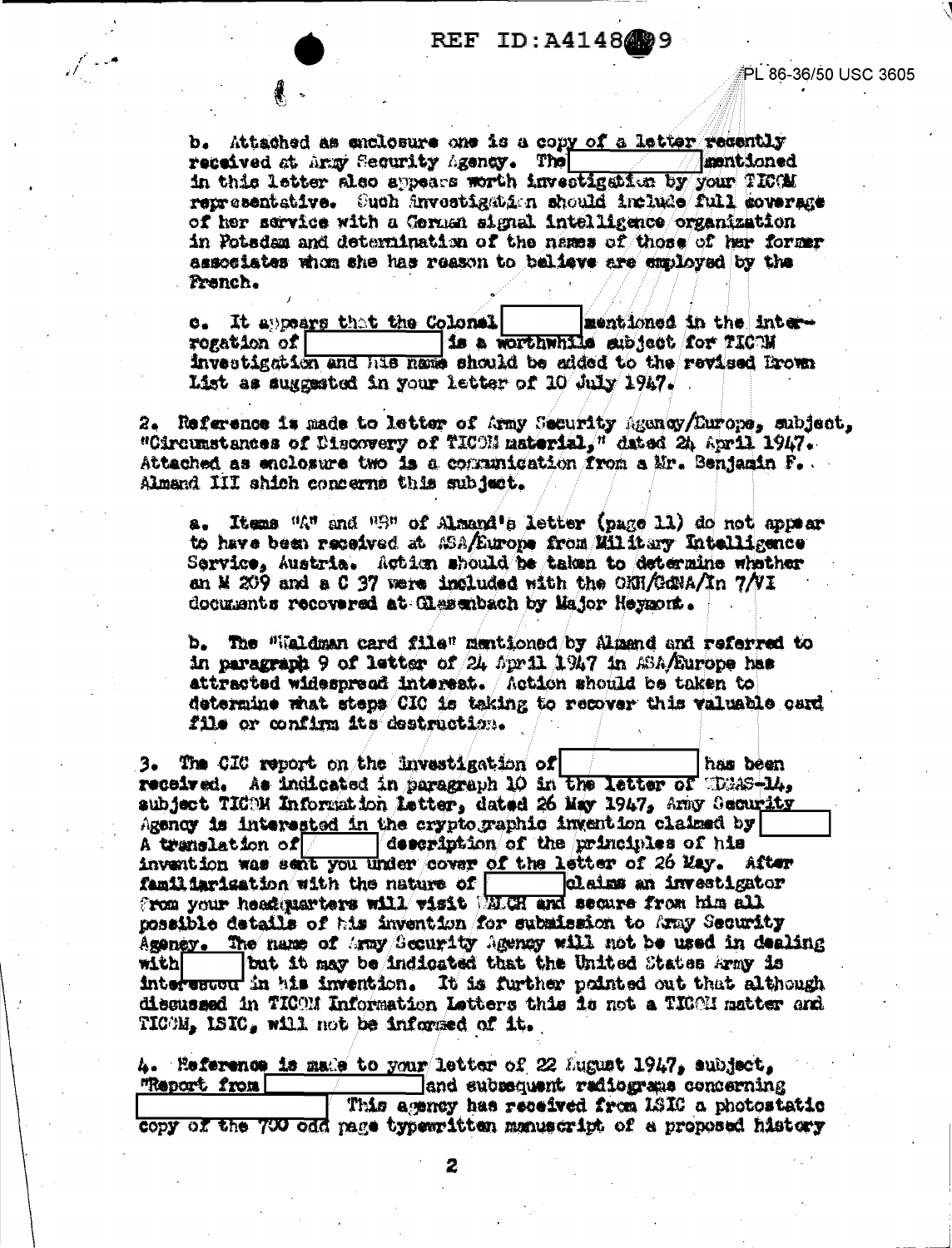b. Attached as enclosure one is a copy of a letter recently received at Army Security Agency. The **Insent ioned** in this letter also appears worth investigation by your TICOM representative. Such investigation should include full coverage of her service with a German signal intelligence organization in Potsdam and determination of the names of those of her former associates whom she has reason to balieve are employed by the Pranch.

e. It appears that the Colonal mentioned in the interrogation of [ is a worthwhile subject for TICOM investigation and his name should be added to the revised Brown List as suggested in your letter of 10 July 1947.

2. Reference is made to letter of Army Security Agency/Europe, subject, "Circumstances of Discovery of TICOM material," dated 24 April 1947. Attached as enclosure two is a communication from a Mr. Benjamin F. Almand III shich concerns this subject.

a. Items "A" and "S" of Almand's letter (page 11) do not appear to have been received at ASA/Europe from Military Intelligence Service, Austria. Action should be taken to determine whather an M 209 and a C 37 were included with the ONH/GdNA/In  $7/NI$ documents recovered at Clasenbach by Major Heygont.

b. The "Waldman card file" mentioned by Almand and referred to in paragraph 9 of letter of 24 April 1947 in ASA/Europe has attracted widespread interest. Action should be taken to determine what steps CIC is taking to recover this valuable card file or confirm its destruction.

3. The CIC report on the investigation of has been received. As indicated in paragraph 10 in the letter of theas-14, subject TICOM Information Letter, dated 26 May 1947, Amy Security Agency is interested in the cryptographic invention claimed by A translation of  $\vert$  =  $\vert$  description of the principles of his invention was sent you under cover of the letter of 26 May. After familiarisation with the nature of claims an investigator from your headquarters will visit WELCH and secure from him all possible details of his invention for submission to Army Security Ageney. The name of Agay/Security Agency will not be used in dealing but it may be indicated that the United States Army is with! interested in his invention. It is further pointed out that although discussed in TICOM Information Letters this is not a TIGOM matter and TICOM, ISIC, will not be informed of it.

4. Reference is made to your letter of 22 August 1947, subject, "Report from Tand subsequent radiograms concerning This agency has received from ISIC a photostatic copy of the 700 odd page typewritten manuscript of a proposed history